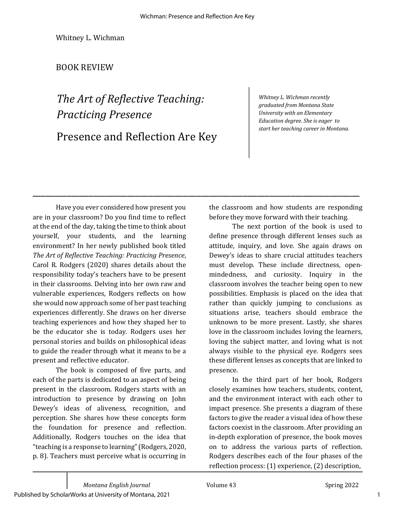\_\_\_\_\_\_\_\_\_\_\_\_\_\_\_\_\_\_\_\_\_\_\_\_\_\_\_\_\_\_\_\_\_\_\_\_\_\_\_\_\_\_\_\_\_\_\_\_\_\_\_\_\_\_\_\_\_\_\_\_\_\_\_\_\_\_\_\_\_\_\_\_\_\_\_\_

Whitney L. Wichman

## BOOK REVIEW

## The Art of Reflective Teaching: *Practicing Presence* Presence and Reflection Are Key

*Whitney L. Wichman recently graduated from Montana State University with an Elementary Education degree. She is eager to start her teaching career in Montana.*

Have you ever considered how present you are in your classroom? Do you find time to reflect at the end of the day, taking the time to think about yourself, your students, and the learning environment? In her newly published book titled The Art of Reflective Teaching: Practicing Presence, Carol R. Rodgers (2020) shares details about the responsibility today's teachers have to be present in their classrooms. Delving into her own raw and vulnerable experiences, Rodgers reflects on how she would now approach some of her past teaching experiences differently. She draws on her diverse teaching experiences and how they shaped her to be the educator she is today. Rodgers uses her personal stories and builds on philosophical ideas to guide the reader through what it means to be a present and reflective educator.

The book is composed of five parts, and each of the parts is dedicated to an aspect of being present in the classroom. Rodgers starts with an introduction to presence by drawing on John Dewey's ideas of aliveness, recognition, and perception. She shares how these concepts form the foundation for presence and reflection. Additionally, Rodgers touches on the idea that "teaching is a response to learning" (Rodgers, 2020, p. 8). Teachers must perceive what is occurring in the classroom and how students are responding before they move forward with their teaching.

The next portion of the book is used to define presence through different lenses such as attitude, inquiry, and love. She again draws on Dewey's ideas to share crucial attitudes teachers must develop. These include directness, openmindedness, and curiosity. Inquiry in the classroom involves the teacher being open to new possibilities. Emphasis is placed on the idea that rather than quickly jumping to conclusions as situations arise, teachers should embrace the unknown to be more present. Lastly, she shares love in the classroom includes loving the learners, loving the subject matter, and loving what is not always visible to the physical eye. Rodgers sees these different lenses as concepts that are linked to presence. 

In the third part of her book, Rodgers closely examines how teachers, students, content, and the environment interact with each other to impact presence. She presents a diagram of these factors to give the reader a visual idea of how these factors coexist in the classroom. After providing an in-depth exploration of presence, the book moves on to address the various parts of reflection. Rodgers describes each of the four phases of the reflection process: (1) experience, (2) description,